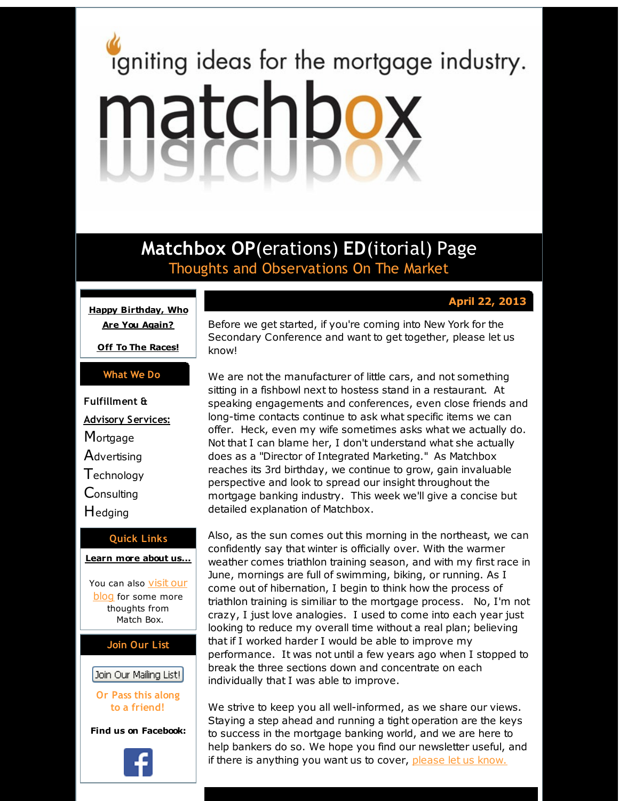# <span id="page-0-0"></span>igniting ideas for the mortgage industry. matchbox

**Matchbox OP**(erations) **ED**(itorial) Page Thoughts and Observations On The Market

# arch September 7 **April 22, 2013**

**Happy [Birthday,](#page-0-0) Who Are You Again?**

**Off To The [Races!](#page-0-0)**

# **What We Do**

**Fulfillment & Advisory Services: Mortgage Advertising Technology Consulting** Hedging

## **Quick Links**

**[Learn](http://r20.rs6.net/tn.jsp?f=001YgvqRhqPMJiKlQNpdQ-VPy9bC_LyjoYt0PSx-uvsNtl0NwAYUONhZdeTXHll34P1dv-TeN_rTG6gfuVeFUAdjFMs2qU_LSg5lQa-O28hRSdVb0dNdpltelVF_8jvWVvVsBiMJXj73Yprc3ctdE7O6ZVO-jAIfGvsa-7OCndJW7LGwesbhw8Fsw==&c=&ch=) more about u[s...](http://r20.rs6.net/tn.jsp?f=001YgvqRhqPMJiKlQNpdQ-VPy9bC_LyjoYt0PSx-uvsNtl0NwAYUONhZdeTXHll34P1dv-TeN_rTG6gfuVeFUAdjFMs2qU_LSg5lQa-O28hRSdVb0dNdpltelVF_8jvWVvVsBiMJXj73Yprc3ctdE7O6ZVO-jAIfGvsa-7OCndJW7LGwesbhw8Fsw==&c=&ch=)**

You can also [visit](http://r20.rs6.net/tn.jsp?f=001YgvqRhqPMJiKlQNpdQ-VPy9bC_LyjoYt0PSx-uvsNtl0NwAYUONhZXZ0iNgCml4JJT3k4q7Me903nxWQqW7N5B5nB2WbQy06F-dPJgwAPQHlC03XiiijQ5AJZugSbRh2MKqpU3I1kObo6yZQz_jz69v5kqMqOnYqkrXNAKePJk3h2Ljxd1BXnBBPfqJrkFXH&c=&ch=) our blog for some more thoughts from Match Box.

# **Join Our List**

Join Our Mailing List!

**Or Pass this along to a friend!**

**Find us on Facebook:**

Before we get started, if you're coming into New York for the Secondary Conference and want to get together, please let us know!

We are not the manufacturer of little cars, and not something sitting in a fishbowl next to hostess stand in a restaurant. At speaking engagements and conferences, even close friends and long-time contacts continue to ask what specific items we can offer. Heck, even my wife sometimes asks what we actually do. Not that I can blame her, I don't understand what she actually does as a "Director of Integrated Marketing." As Matchbox reaches its 3rd birthday, we continue to grow, gain invaluable perspective and look to spread our insight throughout the mortgage banking industry. This week we'll give a concise but detailed explanation of Matchbox.

Also, as the sun comes out this morning in the northeast, we can confidently say that winter is officially over. With the warmer weather comes triathlon training season, and with my first race in June, mornings are full of swimming, biking, or running. As I come out of hibernation, I begin to think how the process of triathlon training is similiar to the mortgage process. No, I'm not crazy, I just love analogies. I used to come into each year just looking to reduce my overall time without a real plan; believing that if I worked harder I would be able to improve my performance. It was not until a few years ago when I stopped to break the three sections down and concentrate on each individually that I was able to improve.

We strive to keep you all well-informed, as we share our views. Staying a step ahead and running a tight operation are the keys to success in the mortgage banking world, and we are here to help bankers do so. We hope you find our newsletter useful, and if there is anything you want us to cover, [please](http://r20.rs6.net/tn.jsp?f=001YgvqRhqPMJiKlQNpdQ-VPy9bC_LyjoYt0PSx-uvsNtl0NwAYUONhZXZ0iNgCml4JAjbTtb20iHi0Hy_MNZfNTBoXrZqADCTqrrFBINTnKc3ZO4xAXmlCIlIcAFfVxD45nlD9hgikm_UV6rbO5Wq_QZnZd79ZqnWNoaOMKbMMZfGP-wPh7i8zvotjllrNl4eN&c=&ch=) let us know.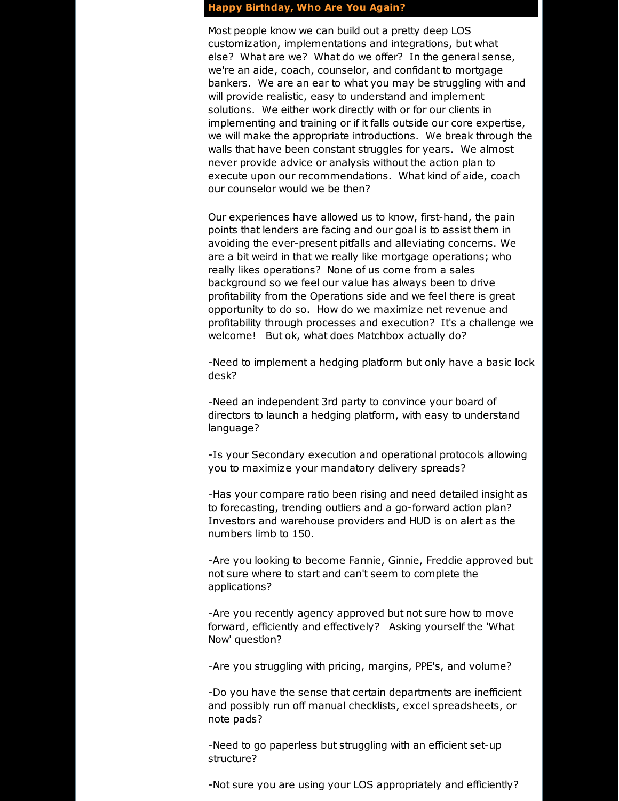#### **Happy Birthday, Who Are You Again?**

Most people know we can build out a pretty deep LOS customization, implementations and integrations, but what else? What are we? What do we offer? In the general sense, we're an aide, coach, counselor, and confidant to mortgage bankers. We are an ear to what you may be struggling with and will provide realistic, easy to understand and implement solutions. We either work directly with or for our clients in implementing and training or if it falls outside our core expertise, we will make the appropriate introductions. We break through the walls that have been constant struggles for years. We almost never provide advice or analysis without the action plan to execute upon our recommendations. What kind of aide, coach our counselor would we be then?

Our experiences have allowed us to know, first-hand, the pain points that lenders are facing and our goal is to assist them in avoiding the ever-present pitfalls and alleviating concerns. We are a bit weird in that we really like mortgage operations; who really likes operations? None of us come from a sales background so we feel our value has always been to drive profitability from the Operations side and we feel there is great opportunity to do so. How do we maximize net revenue and profitability through processes and execution? It's a challenge we welcome! But ok, what does Matchbox actually do?

-Need to implement a hedging platform but only have a basic lock desk?

-Need an independent 3rd party to convince your board of directors to launch a hedging platform, with easy to understand language?

-Is your Secondary execution and operational protocols allowing you to maximize your mandatory delivery spreads?

-Has your compare ratio been rising and need detailed insight as to forecasting, trending outliers and a go-forward action plan? Investors and warehouse providers and HUD is on alert as the numbers limb to 150.

-Are you looking to become Fannie, Ginnie, Freddie approved but not sure where to start and can't seem to complete the applications?

-Are you recently agency approved but not sure how to move forward, efficiently and effectively? Asking yourself the 'What Now' question?

-Are you struggling with pricing, margins, PPE's, and volume?

-Do you have the sense that certain departments are inefficient and possibly run off manual checklists, excel spreadsheets, or note pads?

-Need to go paperless but struggling with an efficient set-up structure?

-Not sure you are using your LOS appropriately and efficiently?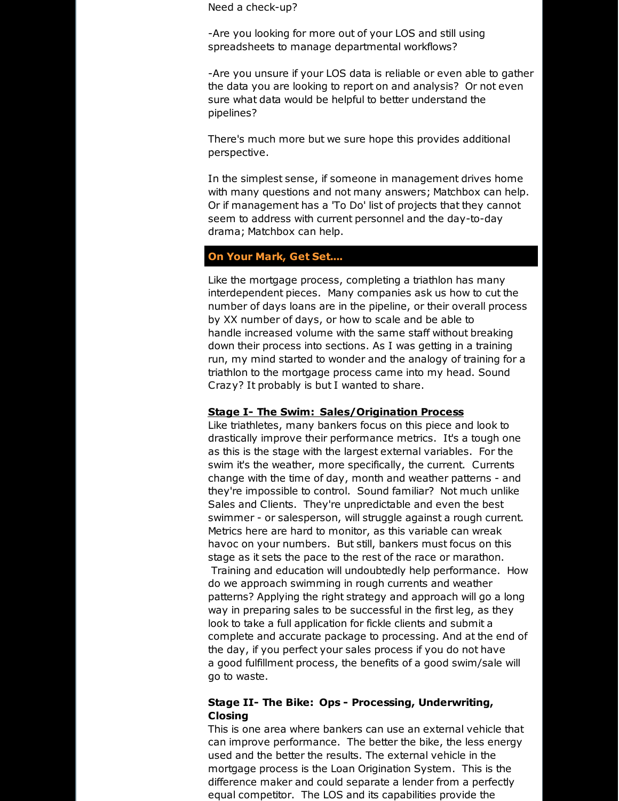Need a check-up?

-Are you looking for more out of your LOS and still using spreadsheets to manage departmental workflows?

-Are you unsure if your LOS data is reliable or even able to gather the data you are looking to report on and analysis? Or not even sure what data would be helpful to better understand the pipelines?

There's much more but we sure hope this provides additional perspective.

In the simplest sense, if someone in management drives home with many questions and not many answers; Matchbox can help. Or if management has a 'To Do' list of projects that they cannot seem to address with current personnel and the day-to-day drama; Matchbox can help.

#### **On Your Mark, Get Set....**

Like the mortgage process, completing a triathlon has many interdependent pieces. Many companies ask us how to cut the number of days loans are in the pipeline, or their overall process by XX number of days, or how to scale and be able to handle increased volume with the same staff without breaking down their process into sections. As I was getting in a training run, my mind started to wonder and the analogy of training for a triathlon to the mortgage process came into my head. Sound Crazy? It probably is but I wanted to share.

#### **Stage I- The Swim: Sales/Origination Process**

Like triathletes, many bankers focus on this piece and look to drastically improve their performance metrics. It's a tough one as this is the stage with the largest external variables. For the swim it's the weather, more specifically, the current. Currents change with the time of day, month and weather patterns - and they're impossible to control. Sound familiar? Not much unlike Sales and Clients. They're unpredictable and even the best swimmer - or salesperson, will struggle against a rough current. Metrics here are hard to monitor, as this variable can wreak havoc on your numbers. But still, bankers must focus on this stage as it sets the pace to the rest of the race or marathon. Training and education will undoubtedly help performance. How do we approach swimming in rough currents and weather patterns? Applying the right strategy and approach will go a long way in preparing sales to be successful in the first leg, as they look to take a full application for fickle clients and submit a complete and accurate package to processing. And at the end of the day, if you perfect your sales process if you do not have a good fulfillment process, the benefits of a good swim/sale will go to waste.

## **Stage II- The Bike: Ops - Processing, Underwriting, Closing**

This is one area where bankers can use an external vehicle that can improve performance. The better the bike, the less energy used and the better the results. The external vehicle in the mortgage process is the Loan Origination System. This is the difference maker and could separate a lender from a perfectly equal competitor. The LOS and its capabilities provide the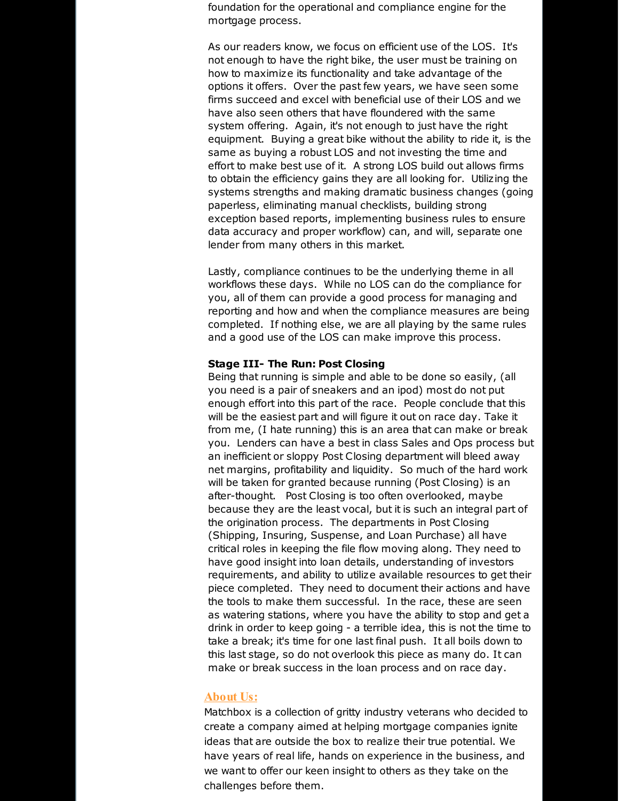foundation for the operational and compliance engine for the mortgage process.

As our readers know, we focus on efficient use of the LOS. It's not enough to have the right bike, the user must be training on how to maximize its functionality and take advantage of the options it offers. Over the past few years, we have seen some firms succeed and excel with beneficial use of their LOS and we have also seen others that have floundered with the same system offering. Again, it's not enough to just have the right equipment. Buying a great bike without the ability to ride it, is the same as buying a robust LOS and not investing the time and effort to make best use of it. A strong LOS build out allows firms to obtain the efficiency gains they are all looking for. Utilizing the systems strengths and making dramatic business changes (going paperless, eliminating manual checklists, building strong exception based reports, implementing business rules to ensure data accuracy and proper workflow) can, and will, separate one lender from many others in this market.

Lastly, compliance continues to be the underlying theme in all workflows these days. While no LOS can do the compliance for you, all of them can provide a good process for managing and reporting and how and when the compliance measures are being completed. If nothing else, we are all playing by the same rules and a good use of the LOS can make improve this process.

#### **Stage III- The Run: Post Closing**

Being that running is simple and able to be done so easily, (all you need is a pair of sneakers and an ipod) most do not put enough effort into this part of the race. People conclude that this will be the easiest part and will figure it out on race day. Take it from me, (I hate running) this is an area that can make or break you. Lenders can have a best in class Sales and Ops process but an inefficient or sloppy Post Closing department will bleed away net margins, profitability and liquidity. So much of the hard work will be taken for granted because running (Post Closing) is an after-thought. Post Closing is too often overlooked, maybe because they are the least vocal, but it is such an integral part of the origination process. The departments in Post Closing (Shipping, Insuring, Suspense, and Loan Purchase) all have critical roles in keeping the file flow moving along. They need to have good insight into loan details, understanding of investors requirements, and ability to utilize available resources to get their piece completed. They need to document their actions and have the tools to make them successful. In the race, these are seen as watering stations, where you have the ability to stop and get a drink in order to keep going - a terrible idea, this is not the time to take a break; it's time for one last final push. It all boils down to this last stage, so do not overlook this piece as many do. It can make or break success in the loan process and on race day.

#### **About Us:**

Matchbox is a collection of gritty industry veterans who decided to create a company aimed at helping mortgage companies ignite ideas that are outside the box to realize their true potential. We have years of real life, hands on experience in the business, and we want to offer our keen insight to others as they take on the challenges before them.